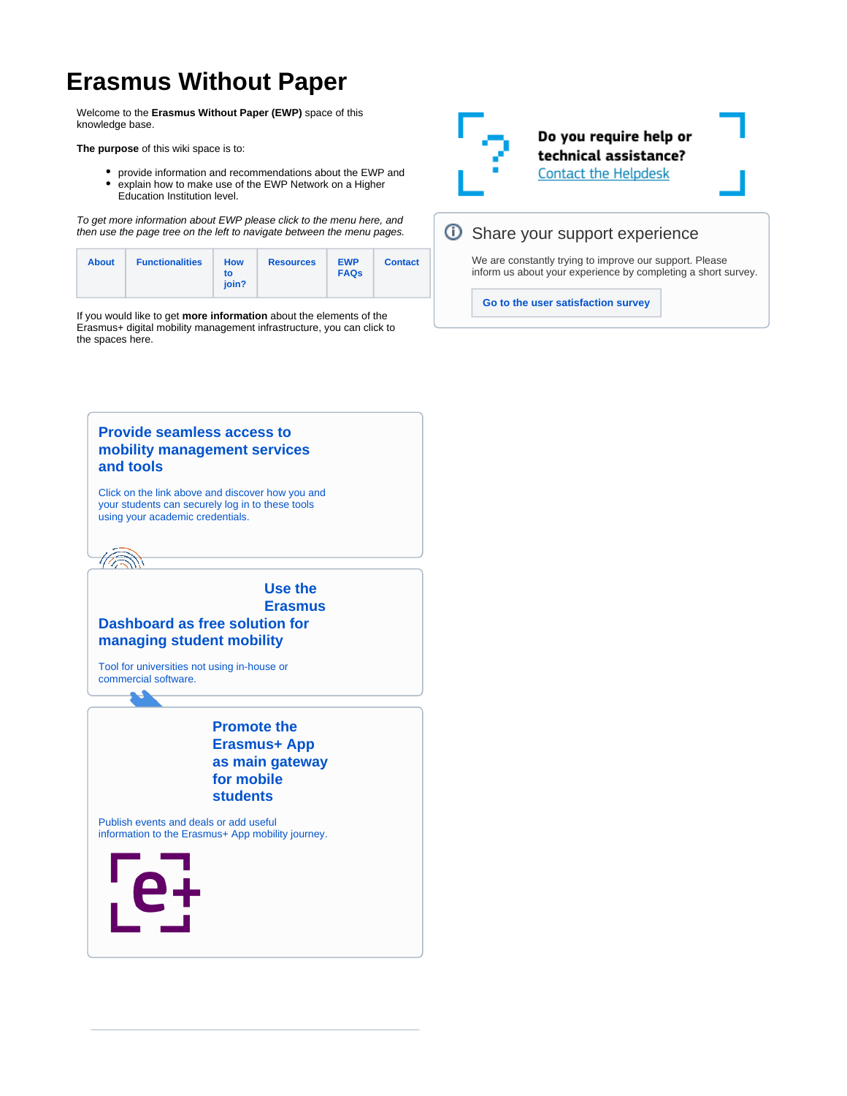# **Erasmus Without Paper**

Welcome to the **Erasmus Without Paper (EWP)** space of this knowledge base.

**The purpose** of this wiki space is to:

- provide information and recommendations about the EWP and
- explain how to make use of the EWP Network on a Higher Education Institution level.

To get more information about EWP please click to the menu here, and then use the page tree on the left to navigate between the menu pages.

| <b>About</b><br><b>Functionalities</b> | <b>How</b><br>to<br>ioin? | <b>Resources</b> | <b>EWP</b><br><b>FAQs</b> | <b>Contact</b> |
|----------------------------------------|---------------------------|------------------|---------------------------|----------------|
|----------------------------------------|---------------------------|------------------|---------------------------|----------------|

If you would like to get **more information** about the elements of the Erasmus+ digital mobility management infrastructure, you can click to the spaces here.



## *O* Share your support experience

We are constantly trying to improve our support. Please inform us about your experience by completing a short survey.

**[Go to the user satisfaction survey](https://ghentunipss.eu.qualtrics.com/jfe/form/SV_b2Q2hKaoZ7bP4iO)**